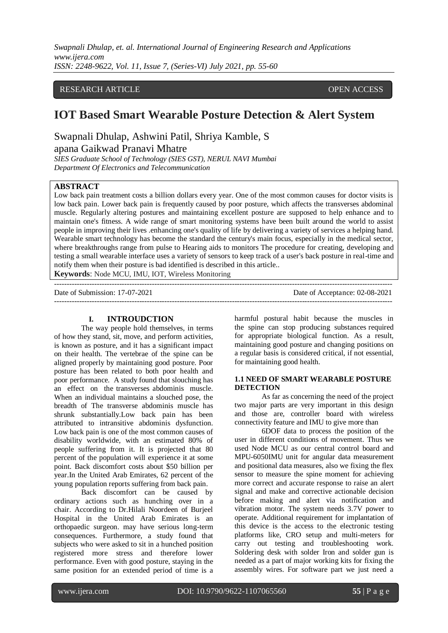## RESEARCH ARTICLE **CONTRACT ARTICLE**

# **IOT Based Smart Wearable Posture Detection & Alert System**

Swapnali Dhulap, Ashwini Patil, Shriya Kamble, S apana Gaikwad Pranavi Mhatre

*SIES Graduate School of Technology (SIES GST), NERUL NAVI Mumbai Department Of Electronics and Telecommunication* 

## **ABSTRACT**

Low back pain treatment costs a billion dollars every year. One of the most common causes for doctor visits is low back pain. Lower back pain is frequently caused by poor posture, which affects the transverses abdominal muscle. Regularly altering postures and maintaining excellent posture are supposed to help enhance and to maintain one's fitness. A wide range of smart monitoring systems have been built around the world to assist people in improving their lives .enhancing one's quality of life by delivering a variety of services a helping hand. Wearable smart technology has become the standard the century's main focus, especially in the medical sector, where breakthroughs range from pulse to Hearing aids to monitors The procedure for creating, developing and testing a small wearable interface uses a variety of sensors to keep track of a user's back posture in real-time and notify them when their posture is bad identified is described in this article..

**Keywords**: Node MCU, IMU, IOT, Wireless Monitoring

| Date of Submission: 17-07-2021 | Date of Acceptance: 02-08-2021 |
|--------------------------------|--------------------------------|
|                                |                                |

#### **I. INTROUDCTION**

The way people hold themselves, in terms of how they stand, sit, move, and perform activities, is known as posture, and it has a significant impact on their health. The vertebrae of the spine can be aligned properly by maintaining good posture. Poor posture has been related to both poor health and poor performance. A study found that slouching has an effect on the transverses abdominis muscle. When an individual maintains a slouched pose, the breadth of The transverse abdominis muscle has shrunk substantially.Low back pain has been attributed to intransitive abdominis dysfunction. Low back pain is one of the most common causes of disability worldwide, with an estimated 80% of people suffering from it. It is projected that 80 percent of the population will experience it at some point. Back discomfort costs about \$50 billion per year.In the United Arab Emirates, 62 percent of the young population reports suffering from back pain.

Back discomfort can be caused by ordinary actions such as hunching over in a chair. According to Dr.Hilali Noordeen of Burjeel Hospital in the United Arab Emirates is an orthopaedic surgeon. may have serious long-term consequences. Furthermore, a study found that subjects who were asked to sit in a hunched position registered more stress and therefore lower performance. Even with good posture, staying in the same position for an extended period of time is a harmful postural habit because the muscles in the spine can stop producing substances required for appropriate biological function. As a result, maintaining good posture and changing positions on a regular basis is considered critical, if not essential, for maintaining good health.

#### **1.1 NEED OF SMART WEARABLE POSTURE DETECTION**

As far as concerning the need of the project two major parts are very important in this design and those are, controller board with wireless connectivity feature and IMU to give more than

6DOF data to process the position of the user in different conditions of movement. Thus we used Node MCU as our central control board and MPU-6050IMU unit for angular data measurement and positional data measures, also we fixing the flex sensor to measure the spine moment for achieving more correct and accurate response to raise an alert signal and make and corrective actionable decision before making and alert via notification and vibration motor. The system needs 3.7V power to operate. Additional requirement for implantation of this device is the access to the electronic testing platforms like, CRO setup and multi-meters for carry out testing and troubleshooting work. Soldering desk with solder Iron and solder gun is needed as a part of major working kits for fixing the assembly wires. For software part we just need a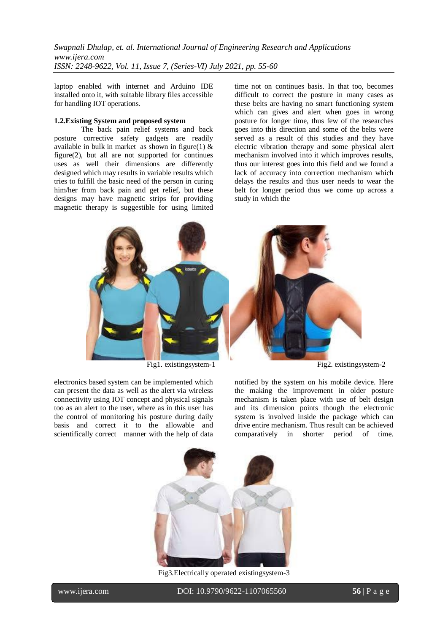laptop enabled with internet and Arduino IDE installed onto it, with suitable library files accessible for handling IOT operations.

#### **1.2.Existing System and proposed system**

The back pain relief systems and back posture corrective safety gadgets are readily available in bulk in market as shown in figure(1)  $\&$ figure(2), but all are not supported for continues uses as well their dimensions are differently designed which may results in variable results which tries to fulfill the basic need of the person in curing him/her from back pain and get relief, but these designs may have magnetic strips for providing magnetic therapy is suggestible for using limited time not on continues basis. In that too, becomes difficult to correct the posture in many cases as these belts are having no smart functioning system which can gives and alert when goes in wrong posture for longer time, thus few of the researches goes into this direction and some of the belts were served as a result of this studies and they have electric vibration therapy and some physical alert mechanism involved into it which improves results, thus our interest goes into this field and we found a lack of accuracy into correction mechanism which delays the results and thus user needs to wear the belt for longer period thus we come up across a study in which the



electronics based system can be implemented which can present the data as well as the alert via wireless connectivity using IOT concept and physical signals too as an alert to the user, where as in this user has the control of monitoring his posture during daily basis and correct it to the allowable and scientifically correct manner with the help of data

notified by the system on his mobile device. Here the making the improvement in older posture mechanism is taken place with use of belt design and its dimension points though the electronic system is involved inside the package which can drive entire mechanism. Thus result can be achieved comparatively in shorter period of time.



Fig3.Electrically operated existingsystem-3

l

www.ijera.com DOI: 10.9790/9622-1107065560 **56** | P a g e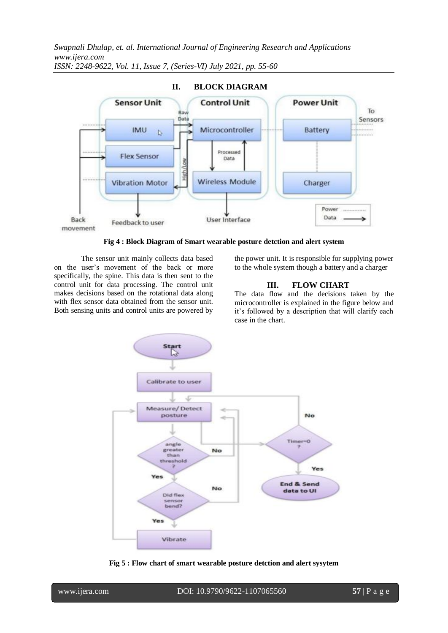

**Fig 4 : Block Diagram of Smart wearable posture detction and alert system**

The sensor unit mainly collects data based on the user's movement of the back or more specifically, the spine. This data is then sent to the control unit for data processing. The control unit makes decisions based on the rotational data along with flex sensor data obtained from the sensor unit. Both sensing units and control units are powered by the power unit. It is responsible for supplying power to the whole system though a battery and a charger

## **III. FLOW CHART**

The data flow and the decisions taken by the microcontroller is explained in the figure below and it's followed by a description that will clarify each case in the chart.



**Fig 5 : Flow chart of smart wearable posture detction and alert sysytem**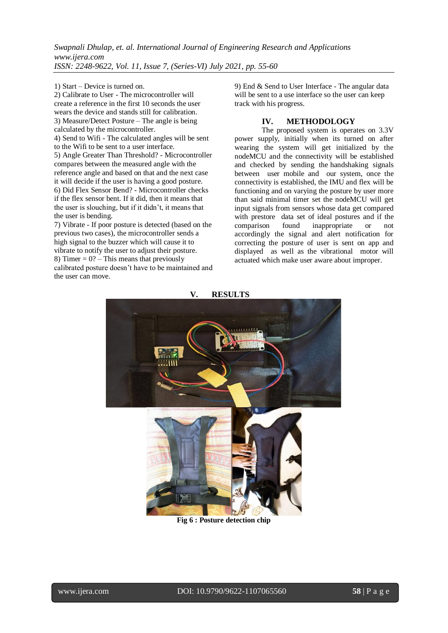1) Start – Device is turned on.

2) Calibrate to User - The microcontroller will create a reference in the first 10 seconds the user wears the device and stands still for calibration. 3) Measure/Detect Posture – The angle is being calculated by the microcontroller. 4) Send to Wifi - The calculated angles will be sent

to the Wifi to be sent to a user interface. 5) Angle Greater Than Threshold? - Microcontroller compares between the measured angle with the reference angle and based on that and the next case it will decide if the user is having a good posture. 6) Did Flex Sensor Bend? - Microcontroller checks if the flex sensor bent. If it did, then it means that the user is slouching, but if it didn't, it means that the user is bending.

7) Vibrate - If poor posture is detected (based on the previous two cases), the microcontroller sends a high signal to the buzzer which will cause it to vibrate to notify the user to adjust their posture. 8) Timer =  $0$ ? – This means that previously calibrated posture doesn't have to be maintained and the user can move.

9) End & Send to User Interface - The angular data will be sent to a use interface so the user can keep track with his progress.

## **IV. METHODOLOGY**

The proposed system is operates on 3.3V power supply, initially when its turned on after wearing the system will get initialized by the nodeMCU and the connectivity will be established and checked by sending the handshaking signals between user mobile and our system, once the connectivity is established, the IMU and flex will be functioning and on varying the posture by user more than said minimal timer set the nodeMCU will get input signals from sensors whose data get compared with prestore data set of ideal postures and if the comparison found inappropriate or not accordingly the signal and alert notification for correcting the posture of user is sent on app and displayed as well as the vibrational motor will actuated which make user aware about improper.



**Fig 6 : Posture detection chip**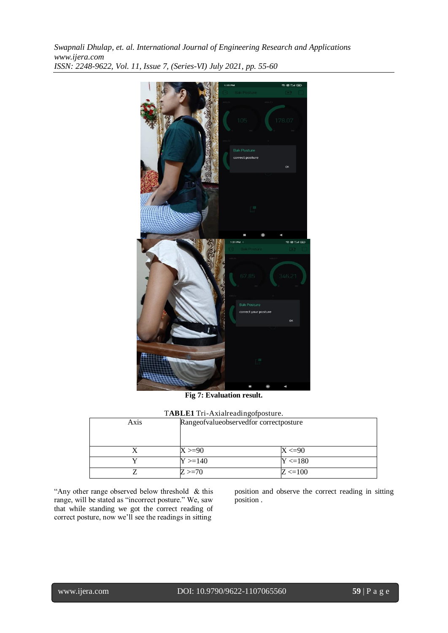

**Fig 7: Evaluation result.**

| TABLE1 Tri-Axialreadingofposture. |
|-----------------------------------|
|                                   |

| Axis | The ELI THE AMERICAN CHUPOSITIC.<br>Rangeofvalueobservedfor correctposture |             |
|------|----------------------------------------------------------------------------|-------------|
|      | $X > = 90$                                                                 | $X < = 90$  |
|      | $Y > = 140$                                                                | $Y < = 180$ |
|      | $Z > = 70$                                                                 | $Z < = 100$ |

"Any other range observed below threshold & this range, will be stated as "incorrect posture." We, saw that while standing we got the correct reading of correct posture, now we'll see the readings in sitting

position and observe the correct reading in sitting position .